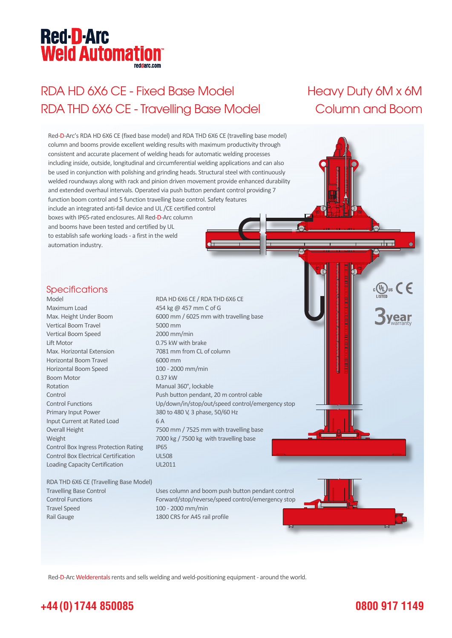# **Red-D-Arc Weld Automation®**

# RDA HD 6X6 CE - Fixed Base Model Heavy Duty 6M x 6M RDA THD 6X6 CE - Travelling Base Model Column and Boom



Red-D-Arc Welderentals rents and sells welding and weld-positioning equipment - around the world.

### **+44 (0) 1744 850085**

#### **0800 917 1149**